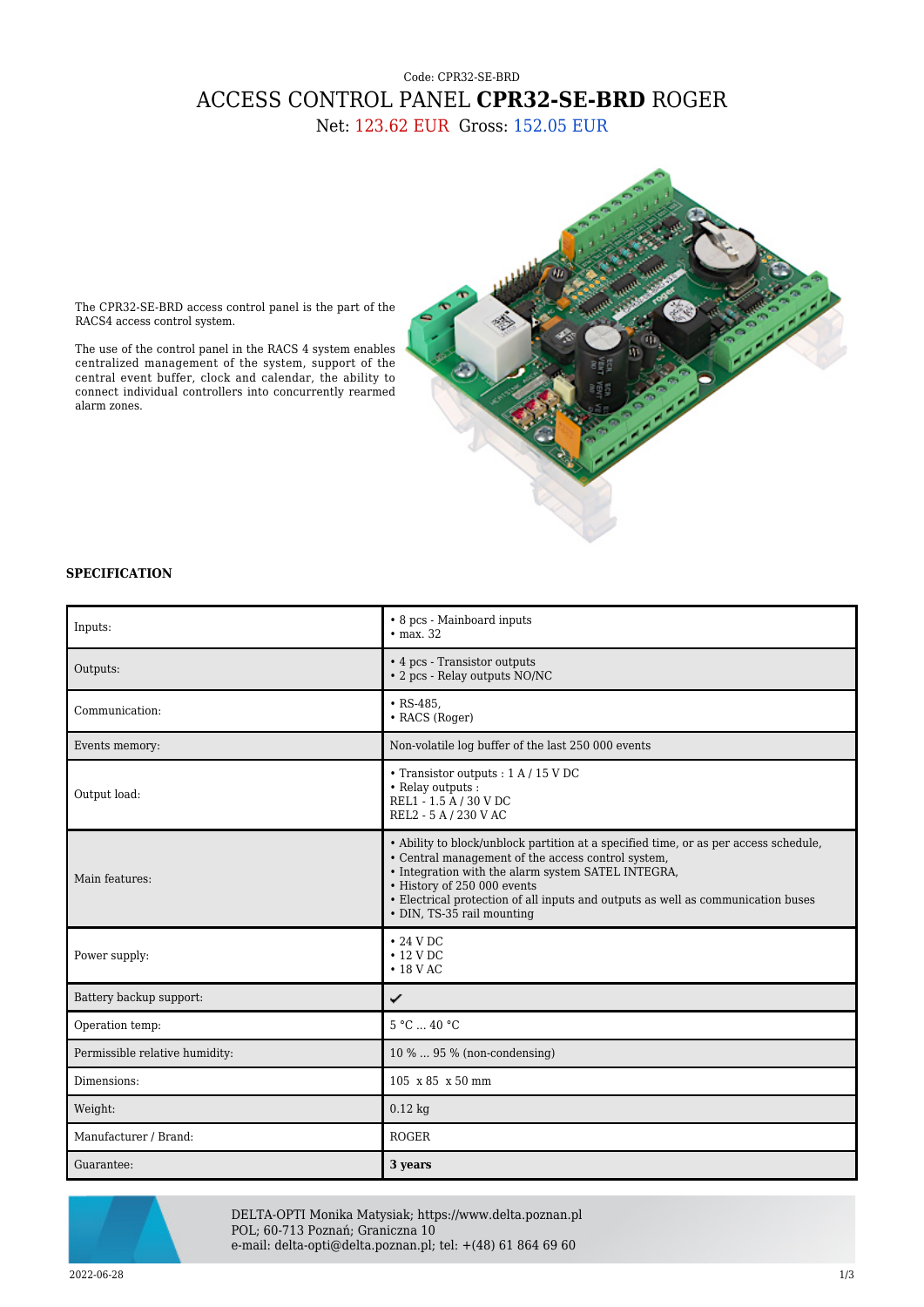## Code: CPR32-SE-BRD ACCESS CONTROL PANEL **CPR32-SE-BRD** ROGER Net: 123.62 EUR Gross: 152.05 EUR

The CPR32-SE-BRD access control panel is the part of the RACS4 access control system.

The use of the control panel in the RACS 4 system enables centralized management of the system, support of the central event buffer, clock and calendar, the ability to connect individual controllers into concurrently rearmed alarm zones.

## **SPECIFICATION**

| Inputs:                        | • 8 pcs - Mainboard inputs<br>$\bullet$ max. 32                                                                                                                                                                                                                                                                                                   |
|--------------------------------|---------------------------------------------------------------------------------------------------------------------------------------------------------------------------------------------------------------------------------------------------------------------------------------------------------------------------------------------------|
| Outputs:                       | • 4 pcs - Transistor outputs<br>• 2 pcs - Relay outputs NO/NC                                                                                                                                                                                                                                                                                     |
| Communication:                 | $\cdot$ RS-485,<br>• RACS (Roger)                                                                                                                                                                                                                                                                                                                 |
| Events memory:                 | Non-volatile log buffer of the last 250 000 events                                                                                                                                                                                                                                                                                                |
| Output load:                   | • Transistor outputs : $1 A / 15 V DC$<br>• Relay outputs :<br>REL1 - 1.5 A / 30 V DC<br>REL2 - 5 A / 230 V AC                                                                                                                                                                                                                                    |
| Main features:                 | • Ability to block/unblock partition at a specified time, or as per access schedule,<br>• Central management of the access control system,<br>• Integration with the alarm system SATEL INTEGRA,<br>• History of 250 000 events<br>• Electrical protection of all inputs and outputs as well as communication buses<br>• DIN, TS-35 rail mounting |
| Power supply:                  | $\cdot$ 24 V DC<br>$\cdot$ 12 V DC<br>$\cdot$ 18 V AC                                                                                                                                                                                                                                                                                             |
| Battery backup support:        | ✓                                                                                                                                                                                                                                                                                                                                                 |
| Operation temp:                | 5 °C  40 °C                                                                                                                                                                                                                                                                                                                                       |
| Permissible relative humidity: | 10 %  95 % (non-condensing)                                                                                                                                                                                                                                                                                                                       |
| Dimensions:                    | 105 x 85 x 50 mm                                                                                                                                                                                                                                                                                                                                  |
| Weight:                        | $0.12$ kg                                                                                                                                                                                                                                                                                                                                         |
| Manufacturer / Brand:          | <b>ROGER</b>                                                                                                                                                                                                                                                                                                                                      |
| Guarantee:                     | 3 years                                                                                                                                                                                                                                                                                                                                           |



DELTA-OPTI Monika Matysiak; https://www.delta.poznan.pl POL; 60-713 Poznań; Graniczna 10 e-mail: delta-opti@delta.poznan.pl; tel: +(48) 61 864 69 60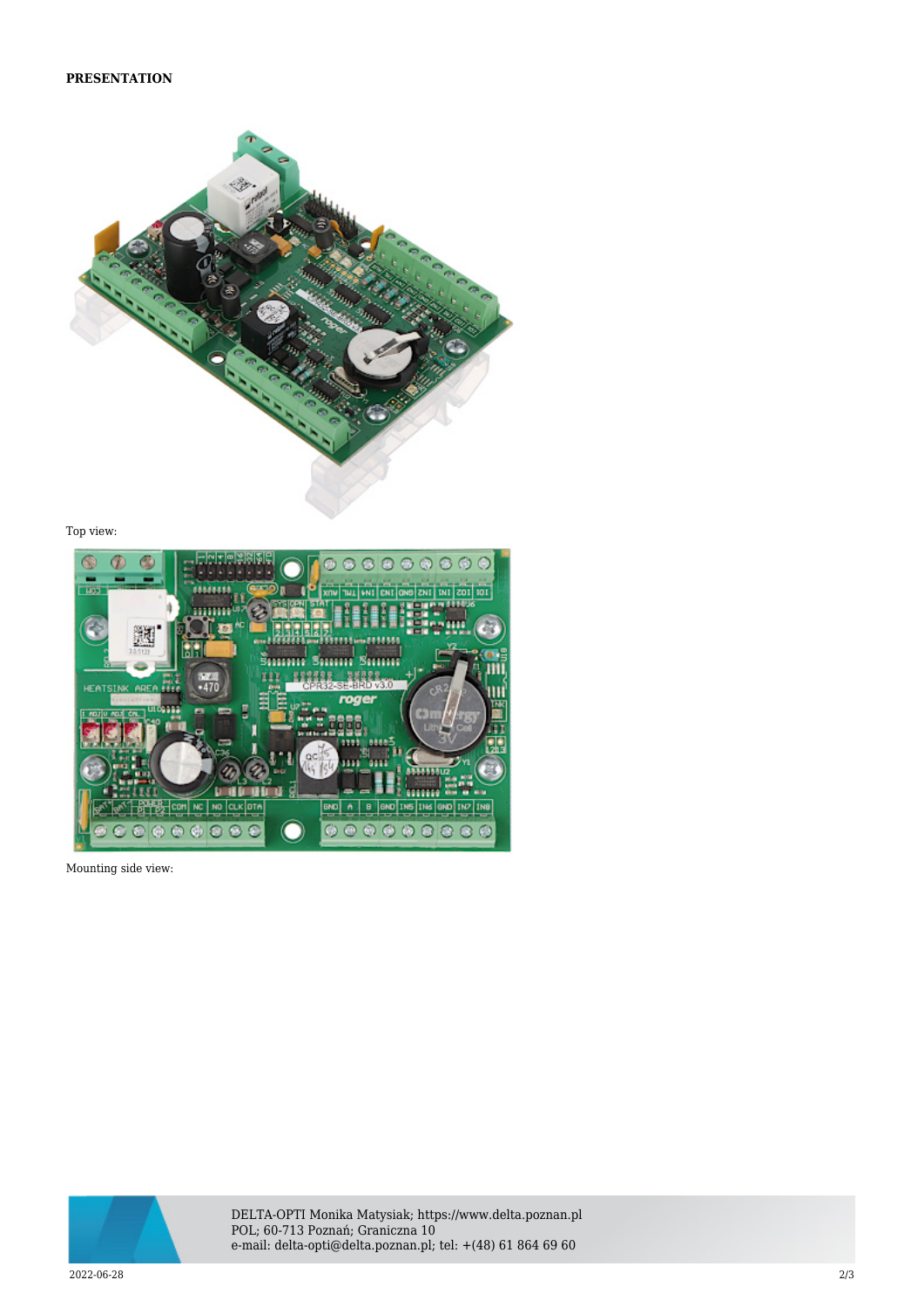

Top view:



Mounting side view:



DELTA-OPTI Monika Matysiak; https://www.delta.poznan.pl POL; 60-713 Poznań; Graniczna 10 e-mail: delta-opti@delta.poznan.pl; tel: +(48) 61 864 69 60

2022-06-28 2/3